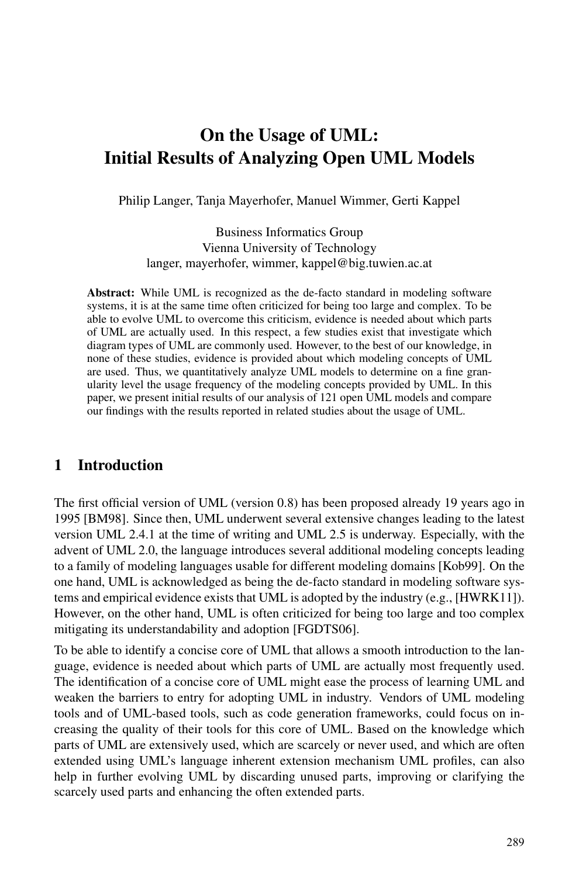# On the Usage of UML: Initial Results of Analyzing Open UML Models

Philip Langer, Tanja Mayerhofer, Manuel Wimmer, Gerti Kappel

Business Informatics Group Vienna University of Technology langer, mayerhofer, wimmer, kappel@big.tuwien.ac.at

Abstract: While UML is recognized as the de-facto standard in modeling software systems, it is at the same time often criticized for being too large and complex. To be able to evolve UML to overcome this criticism, evidence is needed about which parts of UML are actually used. In this respect, a few studies exist that investigate which diagram types of UML are commonly used. However, to the best of our knowledge, in none of these studies, evidence is provided about which modeling concepts of UML are used. Thus, we quantitatively analyze UML models to determine on a fine granularity level the usage frequency of the modeling concepts provided by UML. In this paper, we present initial results of our analysis of 121 open UML models and compare our findings with the results reported in related studies about the usage of UML.

### 1 Introduction

The first official version of UML (version 0.8) has been proposed already 19 years ago in 1995 [BM98]. Since then, UML underwent several extensive changes leading to the latest version UML 2.4.1 at the time of writing and UML 2.5 is underway. Especially, with the advent of UML 2.0, the language introduces several additional modeling concepts leading to a family of modeling languages usable for different modeling domains [Kob99]. On the one hand, UML is acknowledged as being the de-facto standard in modeling software systems and empirical evidence exists that UML is adopted by the industry (e.g., [HWRK11]). However, on the other hand, UML is often criticized for being too large and too complex mitigating its understandability and adoption [FGDTS06].

To be able to identify a concise core of UML that allows a smooth introduction to the language, evidence is needed about which parts of UML are actually most frequently used. The identification of a concise core of UML might ease the process of learning UML and weaken the barriers to entry for adopting UML in industry. Vendors of UML modeling tools and of UML-based tools, such as code generation frameworks, could focus on increasing the quality of their tools for this core of UML. Based on the knowledge which parts of UML are extensively used, which are scarcely or never used, and which are often extended using UML's language inherent extension mechanism UML profiles, can also help in further evolving UML by discarding unused parts, improving or clarifying the scarcely used parts and enhancing the often extended parts.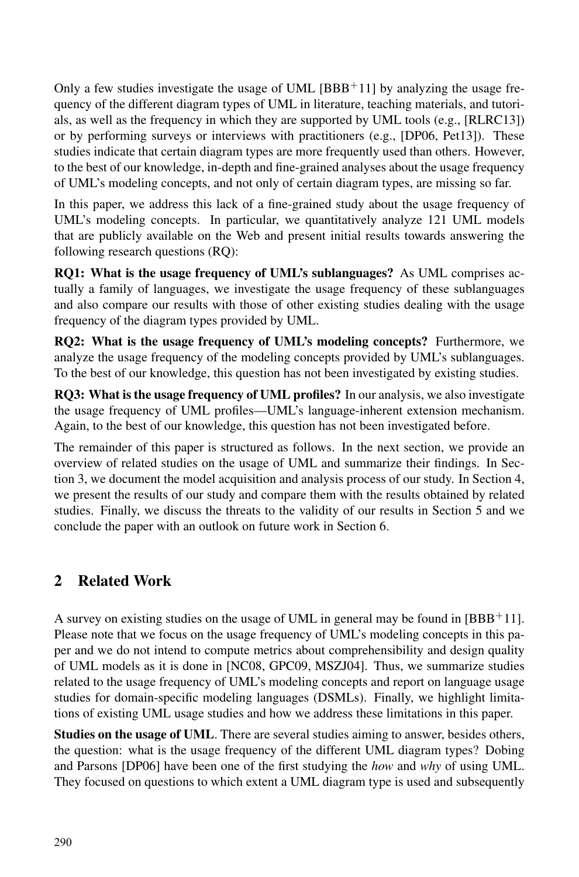Only a few studies investigate the usage of UML  $[BBB+11]$  by analyzing the usage frequency of the different diagram types of UML in literature, teaching materials, and tutorials, as well as the frequency in which they are supported by UML tools (e.g., [RLRC13]) or by performing surveys or interviews with practitioners (e.g., [DP06, Pet13]). These studies indicate that certain diagram types are more frequently used than others. However, to the best of our knowledge, in-depth and fine-grained analyses about the usage frequency of UML's modeling concepts, and not only of certain diagram types, are missing so far.

In this paper, we address this lack of a fine-grained study about the usage frequency of UML's modeling concepts. In particular, we quantitatively analyze 121 UML models that are publicly available on the Web and present initial results towards answering the following research questions (RQ):

RQ1: What is the usage frequency of UML's sublanguages? As UML comprises actually a family of languages, we investigate the usage frequency of these sublanguages and also compare our results with those of other existing studies dealing with the usage frequency of the diagram types provided by UML.

RQ2: What is the usage frequency of UML's modeling concepts? Furthermore, we analyze the usage frequency of the modeling concepts provided by UML's sublanguages. To the best of our knowledge, this question has not been investigated by existing studies.

RQ3: What is the usage frequency of UML profiles? In our analysis, we also investigate the usage frequency of UML profiles—UML's language-inherent extension mechanism. Again, to the best of our knowledge, this question has not been investigated before.

The remainder of this paper is structured as follows. In the next section, we provide an overview of related studies on the usage of UML and summarize their findings. In Section 3, we document the model acquisition and analysis process of our study. In Section 4, we present the results of our study and compare them with the results obtained by related studies. Finally, we discuss the threats to the validity of our results in Section 5 and we conclude the paper with an outlook on future work in Section 6.

## 2 Related Work

A survey on existing studies on the usage of UML in general may be found in  $[BBB^+11]$ . Please note that we focus on the usage frequency of UML's modeling concepts in this paper and we do not intend to compute metrics about comprehensibility and design quality of UML models as it is done in [NC08, GPC09, MSZJ04]. Thus, we summarize studies related to the usage frequency of UML's modeling concepts and report on language usage studies for domain-specific modeling languages (DSMLs). Finally, we highlight limitations of existing UML usage studies and how we address these limitations in this paper.

Studies on the usage of UML. There are several studies aiming to answer, besides others, the question: what is the usage frequency of the different UML diagram types? Dobing and Parsons [DP06] have been one of the first studying the *how* and *why* of using UML. They focused on questions to which extent a UML diagram type is used and subsequently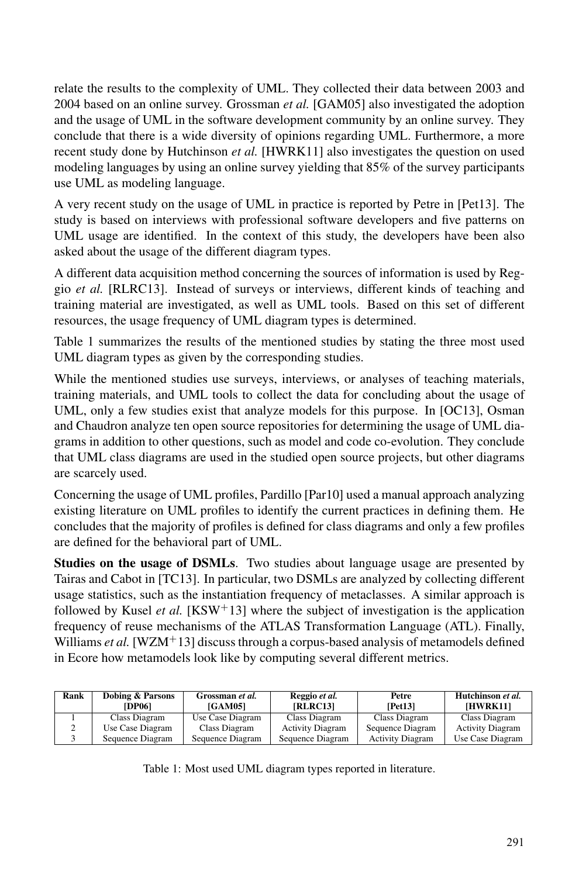relate the results to the complexity of UML. They collected their data between 2003 and 2004 based on an online survey. Grossman *et al.* [GAM05] also investigated the adoption and the usage of UML in the software development community by an online survey. They conclude that there is a wide diversity of opinions regarding UML. Furthermore, a more recent study done by Hutchinson *et al.* [HWRK11] also investigates the question on used modeling languages by using an online survey yielding that 85% of the survey participants use UML as modeling language.

A very recent study on the usage of UML in practice is reported by Petre in [Pet13]. The study is based on interviews with professional software developers and five patterns on UML usage are identified. In the context of this study, the developers have been also asked about the usage of the different diagram types.

A different data acquisition method concerning the sources of information is used by Reggio *et al.* [RLRC13]. Instead of surveys or interviews, different kinds of teaching and training material are investigated, as well as UML tools. Based on this set of different resources, the usage frequency of UML diagram types is determined.

Table 1 summarizes the results of the mentioned studies by stating the three most used UML diagram types as given by the corresponding studies.

While the mentioned studies use surveys, interviews, or analyses of teaching materials, training materials, and UML tools to collect the data for concluding about the usage of UML, only a few studies exist that analyze models for this purpose. In [OC13], Osman and Chaudron analyze ten open source repositories for determining the usage of UML diagrams in addition to other questions, such as model and code co-evolution. They conclude that UML class diagrams are used in the studied open source projects, but other diagrams are scarcely used.

Concerning the usage of UML profiles, Pardillo [Par10] used a manual approach analyzing existing literature on UML profiles to identify the current practices in defining them. He concludes that the majority of profiles is defined for class diagrams and only a few profiles are defined for the behavioral part of UML.

Studies on the usage of DSMLs. Two studies about language usage are presented by Tairas and Cabot in [TC13]. In particular, two DSMLs are analyzed by collecting different usage statistics, such as the instantiation frequency of metaclasses. A similar approach is followed by Kusel *et al.* [KSW<sup>+</sup>13] where the subject of investigation is the application frequency of reuse mechanisms of the ATLAS Transformation Language (ATL). Finally, Williams *et al.* [WZM<sup>+</sup>13] discuss through a corpus-based analysis of metamodels defined in Ecore how metamodels look like by computing several different metrics.

| Rank | Dobing & Parsons<br><b>[DP06]</b> | Grossman et al.<br><b>IGAM051</b> | Reggio et al.<br>[RLRC13] | Petre<br>[Pet13]        | Hutchinson et al.<br>[HWRK11] |
|------|-----------------------------------|-----------------------------------|---------------------------|-------------------------|-------------------------------|
|      | Class Diagram                     | Use Case Diagram                  | Class Diagram             | Class Diagram           | Class Diagram                 |
|      | Use Case Diagram                  | Class Diagram                     | <b>Activity Diagram</b>   | Sequence Diagram        | <b>Activity Diagram</b>       |
|      | Sequence Diagram                  | Sequence Diagram                  | Sequence Diagram          | <b>Activity Diagram</b> | Use Case Diagram              |

Table 1: Most used UML diagram types reported in literature.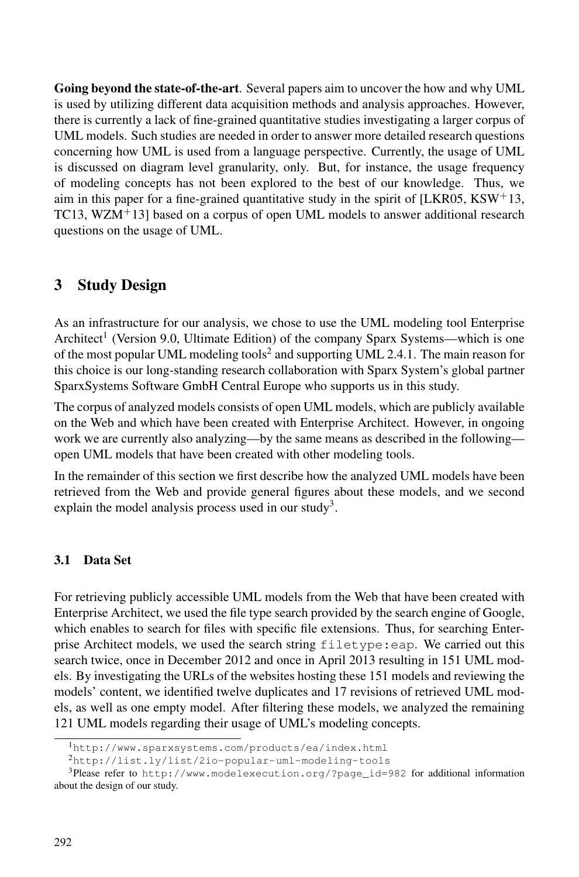Going beyond the state-of-the-art. Several papers aim to uncover the how and why UML is used by utilizing different data acquisition methods and analysis approaches. However, there is currently a lack of fine-grained quantitative studies investigating a larger corpus of UML models. Such studies are needed in order to answer more detailed research questions concerning how UML is used from a language perspective. Currently, the usage of UML is discussed on diagram level granularity, only. But, for instance, the usage frequency of modeling concepts has not been explored to the best of our knowledge. Thus, we aim in this paper for a fine-grained quantitative study in the spirit of [LKR05, KSW $+13$ , TC13, WZM<sup>+</sup>13] based on a corpus of open UML models to answer additional research questions on the usage of UML.

### 3 Study Design

As an infrastructure for our analysis, we chose to use the UML modeling tool Enterprise Architect<sup>1</sup> (Version 9.0, Ultimate Edition) of the company Sparx Systems—which is one of the most popular UML modeling tools<sup>2</sup> and supporting UML 2.4.1. The main reason for this choice is our long-standing research collaboration with Sparx System's global partner SparxSystems Software GmbH Central Europe who supports us in this study.

The corpus of analyzed models consists of open UML models, which are publicly available on the Web and which have been created with Enterprise Architect. However, in ongoing work we are currently also analyzing—by the same means as described in the following open UML models that have been created with other modeling tools.

In the remainder of this section we first describe how the analyzed UML models have been retrieved from the Web and provide general figures about these models, and we second explain the model analysis process used in our study<sup>3</sup>.

#### 3.1 Data Set

For retrieving publicly accessible UML models from the Web that have been created with Enterprise Architect, we used the file type search provided by the search engine of Google, which enables to search for files with specific file extensions. Thus, for searching Enterprise Architect models, we used the search string filetype:eap. We carried out this search twice, once in December 2012 and once in April 2013 resulting in 151 UML models. By investigating the URLs of the websites hosting these 151 models and reviewing the models' content, we identified twelve duplicates and 17 revisions of retrieved UML models, as well as one empty model. After filtering these models, we analyzed the remaining 121 UML models regarding their usage of UML's modeling concepts.

<sup>1</sup>http://www.sparxsystems.com/products/ea/index.html

<sup>2</sup>http://list.ly/list/2io-popular-uml-modeling-tools

<sup>&</sup>lt;sup>3</sup>Please refer to http://www.modelexecution.org/?page\_id=982 for additional information about the design of our study.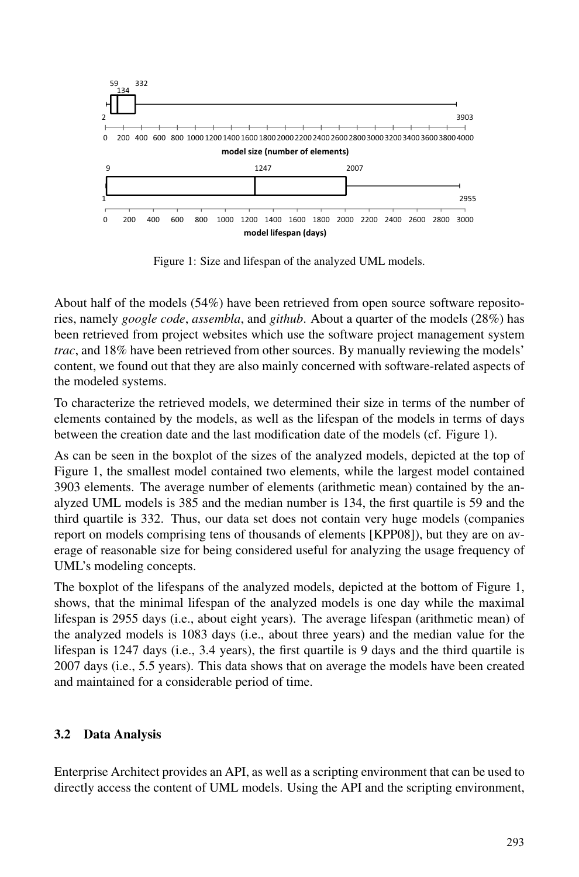

Figure 1: Size and lifespan of the analyzed UML models.

About half of the models (54%) have been retrieved from open source software repositories, namely *google code*, *assembla*, and *github*. About a quarter of the models (28%) has been retrieved from project websites which use the software project management system *trac*, and 18% have been retrieved from other sources. By manually reviewing the models' content, we found out that they are also mainly concerned with software-related aspects of the modeled systems.

To characterize the retrieved models, we determined their size in terms of the number of elements contained by the models, as well as the lifespan of the models in terms of days between the creation date and the last modification date of the models (cf. Figure 1).

As can be seen in the boxplot of the sizes of the analyzed models, depicted at the top of Figure 1, the smallest model contained two elements, while the largest model contained 3903 elements. The average number of elements (arithmetic mean) contained by the analyzed UML models is 385 and the median number is 134, the first quartile is 59 and the third quartile is 332. Thus, our data set does not contain very huge models (companies report on models comprising tens of thousands of elements [KPP08]), but they are on average of reasonable size for being considered useful for analyzing the usage frequency of UML's modeling concepts.

The boxplot of the lifespans of the analyzed models, depicted at the bottom of Figure 1, shows, that the minimal lifespan of the analyzed models is one day while the maximal lifespan is 2955 days (i.e., about eight years). The average lifespan (arithmetic mean) of the analyzed models is 1083 days (i.e., about three years) and the median value for the lifespan is 1247 days (i.e., 3.4 years), the first quartile is 9 days and the third quartile is 2007 days (i.e., 5.5 years). This data shows that on average the models have been created and maintained for a considerable period of time.

#### 3.2 Data Analysis

Enterprise Architect provides an API, as well as a scripting environment that can be used to directly access the content of UML models. Using the API and the scripting environment,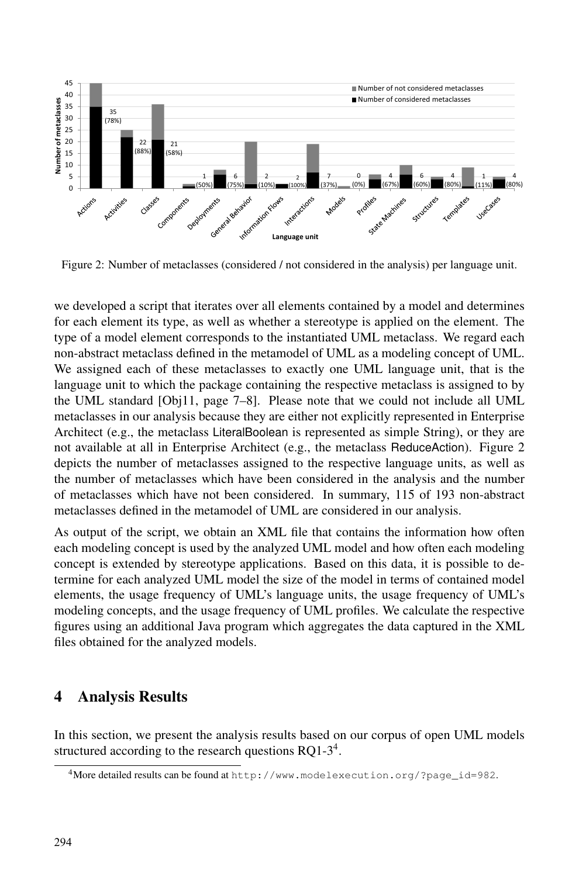

Figure 2: Number of metaclasses (considered / not considered in the analysis) per language unit.

we developed a script that iterates over all elements contained by a model and determines for each element its type, as well as whether a stereotype is applied on the element. The type of a model element corresponds to the instantiated UML metaclass. We regard each non-abstract metaclass defined in the metamodel of UML as a modeling concept of UML. We assigned each of these metaclasses to exactly one UML language unit, that is the language unit to which the package containing the respective metaclass is assigned to by the UML standard [Obj11, page 7–8]. Please note that we could not include all UML metaclasses in our analysis because they are either not explicitly represented in Enterprise Architect (e.g., the metaclass LiteralBoolean is represented as simple String), or they are not available at all in Enterprise Architect (e.g., the metaclass ReduceAction). Figure 2 depicts the number of metaclasses assigned to the respective language units, as well as the number of metaclasses which have been considered in the analysis and the number of metaclasses which have not been considered. In summary, 115 of 193 non-abstract metaclasses defined in the metamodel of UML are considered in our analysis.

As output of the script, we obtain an XML file that contains the information how often each modeling concept is used by the analyzed UML model and how often each modeling concept is extended by stereotype applications. Based on this data, it is possible to determine for each analyzed UML model the size of the model in terms of contained model elements, the usage frequency of UML's language units, the usage frequency of UML's modeling concepts, and the usage frequency of UML profiles. We calculate the respective figures using an additional Java program which aggregates the data captured in the XML files obtained for the analyzed models.

### 4 Analysis Results

In this section, we present the analysis results based on our corpus of open UML models structured according to the research questions  $RQ1-3<sup>4</sup>$ .

<sup>4</sup>More detailed results can be found at http://www.modelexecution.org/?page\_id=982.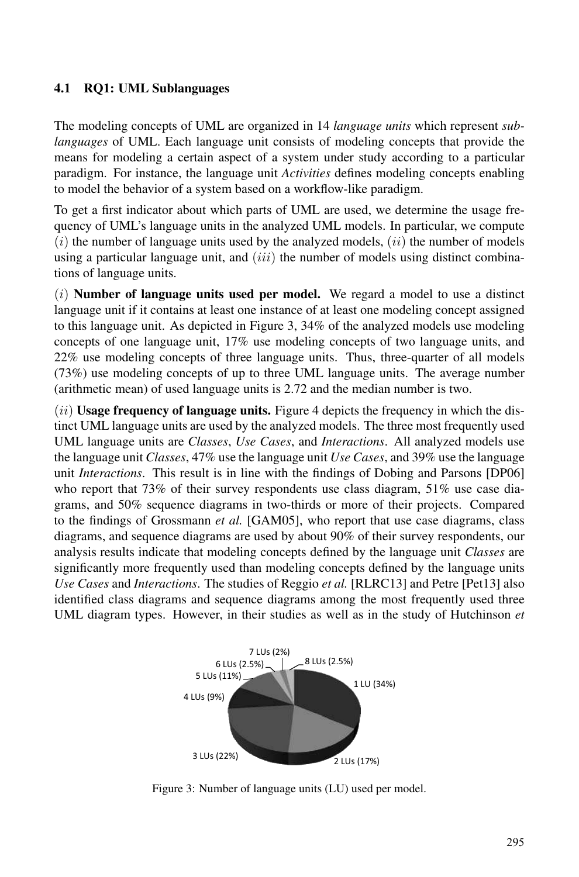#### 4.1 RQ1: UML Sublanguages

The modeling concepts of UML are organized in 14 *language units* which represent *sublanguages* of UML. Each language unit consists of modeling concepts that provide the means for modeling a certain aspect of a system under study according to a particular paradigm. For instance, the language unit *Activities* defines modeling concepts enabling to model the behavior of a system based on a workflow-like paradigm.

To get a first indicator about which parts of UML are used, we determine the usage frequency of UML's language units in the analyzed UML models. In particular, we compute  $(i)$  the number of language units used by the analyzed models,  $(ii)$  the number of models using a particular language unit, and  $(iii)$  the number of models using distinct combinations of language units.

 $(i)$  **Number of language units used per model.** We regard a model to use a distinct language unit if it contains at least one instance of at least one modeling concept assigned to this language unit. As depicted in Figure 3, 34% of the analyzed models use modeling concepts of one language unit, 17% use modeling concepts of two language units, and 22% use modeling concepts of three language units. Thus, three-quarter of all models (73%) use modeling concepts of up to three UML language units. The average number (arithmetic mean) of used language units is 2.72 and the median number is two.

 $(iii)$  Usage frequency of language units. Figure 4 depicts the frequency in which the distinct UML language units are used by the analyzed models. The three most frequently used UML language units are *Classes*, *Use Cases*, and *Interactions*. All analyzed models use the language unit *Classes*, 47% use the language unit *Use Cases*, and 39% use the language unit *Interactions*. This result is in line with the findings of Dobing and Parsons [DP06] who report that 73% of their survey respondents use class diagram, 51% use case diagrams, and 50% sequence diagrams in two-thirds or more of their projects. Compared to the findings of Grossmann *et al.* [GAM05], who report that use case diagrams, class diagrams, and sequence diagrams are used by about 90% of their survey respondents, our analysis results indicate that modeling concepts defined by the language unit *Classes* are significantly more frequently used than modeling concepts defined by the language units *Use Cases* and *Interactions*. The studies of Reggio *et al.* [RLRC13] and Petre [Pet13] also identified class diagrams and sequence diagrams among the most frequently used three UML diagram types. However, in their studies as well as in the study of Hutchinson *et*



Figure 3: Number of language units (LU) used per model.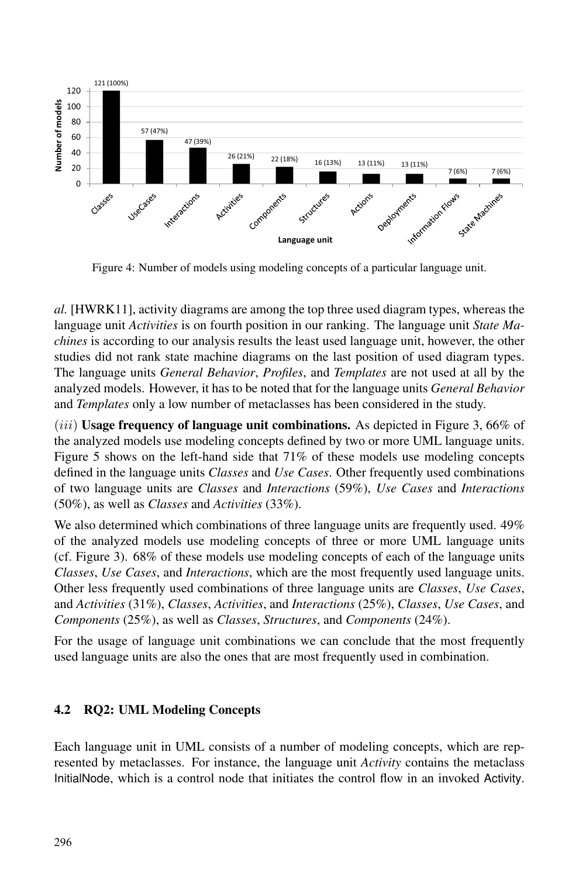

Figure 4: Number of models using modeling concepts of a particular language unit.

*al.* [HWRK11], activity diagrams are among the top three used diagram types, whereas the language unit *Activities* is on fourth position in our ranking. The language unit *State Machines* is according to our analysis results the least used language unit, however, the other studies did not rank state machine diagrams on the last position of used diagram types. The language units *General Behavior*, *Profiles*, and *Templates* are not used at all by the analyzed models. However, it has to be noted that for the language units *General Behavior* and *Templates* only a low number of metaclasses has been considered in the study.

 $(iii)$  Usage frequency of language unit combinations. As depicted in Figure 3, 66% of the analyzed models use modeling concepts defined by two or more UML language units. Figure 5 shows on the left-hand side that  $71\%$  of these models use modeling concepts defined in the language units *Classes* and *Use Cases*. Other frequently used combinations of two language units are *Classes* and *Interactions* (59%), *Use Cases* and *Interactions* (50%), as well as *Classes* and *Activities* (33%).

We also determined which combinations of three language units are frequently used. 49% of the analyzed models use modeling concepts of three or more UML language units (cf. Figure 3). 68% of these models use modeling concepts of each of the language units *Classes*, *Use Cases*, and *Interactions*, which are the most frequently used language units. Other less frequently used combinations of three language units are *Classes*, *Use Cases*, and *Activities* (31%), *Classes*, *Activities*, and *Interactions* (25%), *Classes*, *Use Cases*, and *Components* (25%), as well as *Classes*, *Structures*, and *Components* (24%).

For the usage of language unit combinations we can conclude that the most frequently used language units are also the ones that are most frequently used in combination.

### 4.2 RQ2: UML Modeling Concepts

Each language unit in UML consists of a number of modeling concepts, which are represented by metaclasses. For instance, the language unit *Activity* contains the metaclass InitialNode, which is a control node that initiates the control flow in an invoked Activity.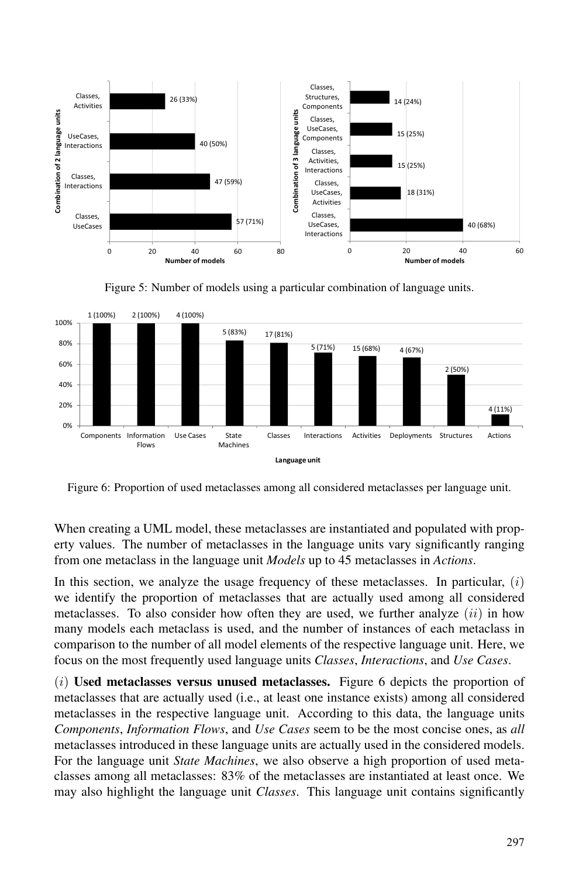

Figure 5: Number of models using a particular combination of language units.



Figure 6: Proportion of used metaclasses among all considered metaclasses per language unit.

When creating a UML model, these metaclasses are instantiated and populated with property values. The number of metaclasses in the language units vary significantly ranging from one metaclass in the language unit *Models* up to 45 metaclasses in *Actions*.

In this section, we analyze the usage frequency of these metaclasses. In particular,  $(i)$ we identify the proportion of metaclasses that are actually used among all considered metaclasses. To also consider how often they are used, we further analyze  $(ii)$  in how many models each metaclass is used, and the number of instances of each metaclass in comparison to the number of all model elements of the respective language unit. Here, we focus on the most frequently used language units *Classes*, *Interactions*, and *Use Cases*.

 $(i)$  Used metaclasses versus unused metaclasses. Figure 6 depicts the proportion of metaclasses that are actually used (i.e., at least one instance exists) among all considered metaclasses in the respective language unit. According to this data, the language units *Components*, *Information Flows*, and *Use Cases* seem to be the most concise ones, as *all* metaclasses introduced in these language units are actually used in the considered models. For the language unit *State Machines*, we also observe a high proportion of used metaclasses among all metaclasses: 83% of the metaclasses are instantiated at least once. We may also highlight the language unit *Classes*. This language unit contains significantly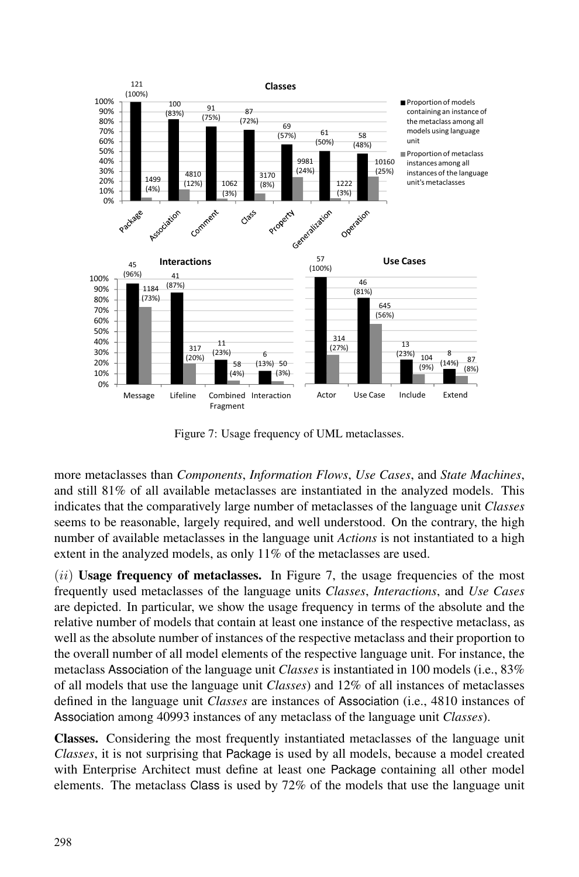

Figure 7: Usage frequency of UML metaclasses.

more metaclasses than *Components*, *Information Flows*, *Use Cases*, and *State Machines*, and still 81% of all available metaclasses are instantiated in the analyzed models. This indicates that the comparatively large number of metaclasses of the language unit *Classes* seems to be reasonable, largely required, and well understood. On the contrary, the high number of available metaclasses in the language unit *Actions* is not instantiated to a high extent in the analyzed models, as only 11% of the metaclasses are used.

 $(iii)$  Usage frequency of metaclasses. In Figure 7, the usage frequencies of the most frequently used metaclasses of the language units *Classes*, *Interactions*, and *Use Cases* are depicted. In particular, we show the usage frequency in terms of the absolute and the relative number of models that contain at least one instance of the respective metaclass, as well as the absolute number of instances of the respective metaclass and their proportion to the overall number of all model elements of the respective language unit. For instance, the metaclass Association of the language unit *Classes* is instantiated in 100 models (i.e., 83% of all models that use the language unit *Classes*) and 12% of all instances of metaclasses defined in the language unit *Classes* are instances of Association (i.e., 4810 instances of Association among 40993 instances of any metaclass of the language unit *Classes*).

Classes. Considering the most frequently instantiated metaclasses of the language unit *Classes*, it is not surprising that Package is used by all models, because a model created with Enterprise Architect must define at least one Package containing all other model elements. The metaclass Class is used by 72% of the models that use the language unit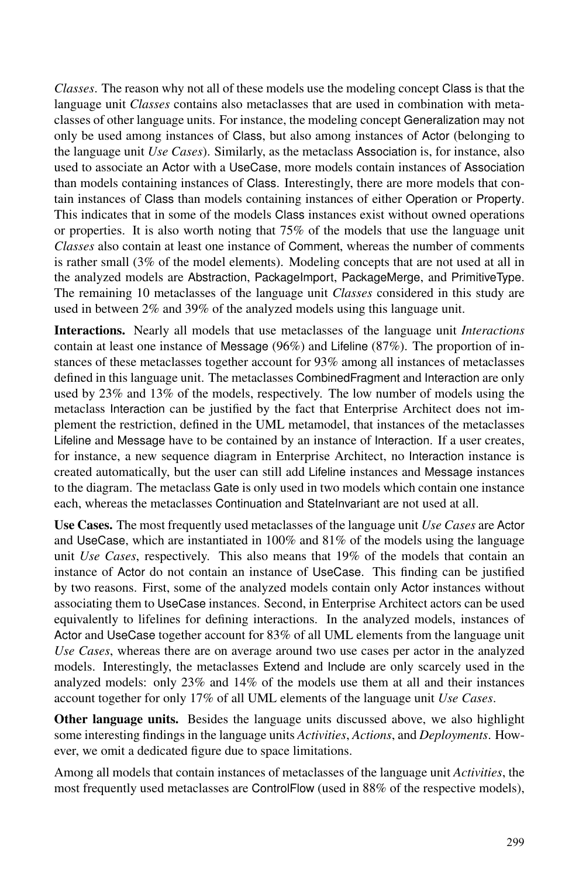*Classes*. The reason why not all of these models use the modeling concept Class is that the language unit *Classes* contains also metaclasses that are used in combination with metaclasses of other language units. For instance, the modeling concept Generalization may not only be used among instances of Class, but also among instances of Actor (belonging to the language unit *Use Cases*). Similarly, as the metaclass Association is, for instance, also used to associate an Actor with a UseCase, more models contain instances of Association than models containing instances of Class. Interestingly, there are more models that contain instances of Class than models containing instances of either Operation or Property. This indicates that in some of the models Class instances exist without owned operations or properties. It is also worth noting that 75% of the models that use the language unit *Classes* also contain at least one instance of Comment, whereas the number of comments is rather small (3% of the model elements). Modeling concepts that are not used at all in the analyzed models are Abstraction, PackageImport, PackageMerge, and PrimitiveType. The remaining 10 metaclasses of the language unit *Classes* considered in this study are used in between 2% and 39% of the analyzed models using this language unit.

Interactions. Nearly all models that use metaclasses of the language unit *Interactions* contain at least one instance of Message  $(96%)$  and Lifeline  $(87%)$ . The proportion of instances of these metaclasses together account for 93% among all instances of metaclasses defined in this language unit. The metaclasses CombinedFragment and Interaction are only used by 23% and 13% of the models, respectively. The low number of models using the metaclass Interaction can be justified by the fact that Enterprise Architect does not implement the restriction, defined in the UML metamodel, that instances of the metaclasses Lifeline and Message have to be contained by an instance of Interaction. If a user creates, for instance, a new sequence diagram in Enterprise Architect, no Interaction instance is created automatically, but the user can still add Lifeline instances and Message instances to the diagram. The metaclass Gate is only used in two models which contain one instance each, whereas the metaclasses Continuation and StateInvariant are not used at all.

Use Cases. The most frequently used metaclasses of the language unit *Use Cases* are Actor and UseCase, which are instantiated in 100% and 81% of the models using the language unit *Use Cases*, respectively. This also means that 19% of the models that contain an instance of Actor do not contain an instance of UseCase. This finding can be justified by two reasons. First, some of the analyzed models contain only Actor instances without associating them to UseCase instances. Second, in Enterprise Architect actors can be used equivalently to lifelines for defining interactions. In the analyzed models, instances of Actor and UseCase together account for 83% of all UML elements from the language unit *Use Cases*, whereas there are on average around two use cases per actor in the analyzed models. Interestingly, the metaclasses Extend and Include are only scarcely used in the analyzed models: only 23% and 14% of the models use them at all and their instances account together for only 17% of all UML elements of the language unit *Use Cases*.

Other language units. Besides the language units discussed above, we also highlight some interesting findings in the language units *Activities*, *Actions*, and *Deployments*. However, we omit a dedicated figure due to space limitations.

Among all models that contain instances of metaclasses of the language unit *Activities*, the most frequently used metaclasses are ControlFlow (used in 88% of the respective models),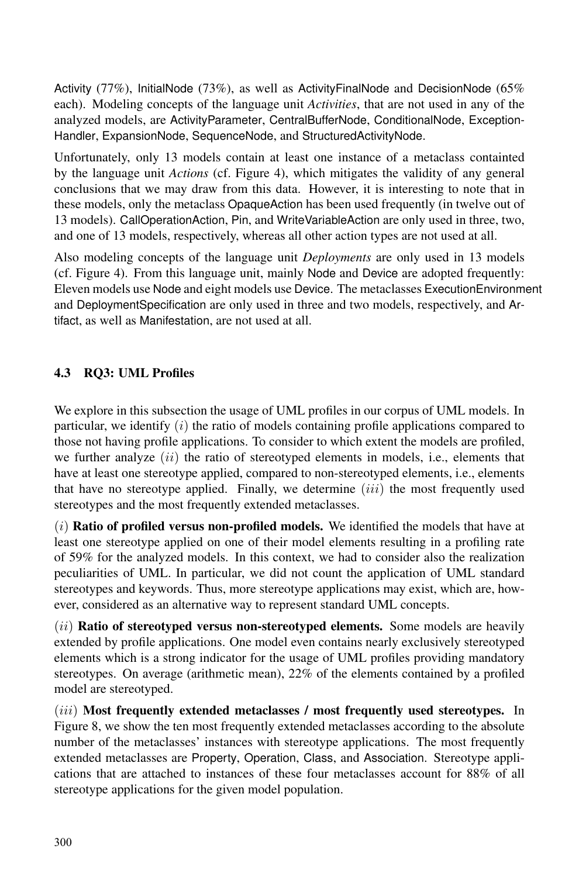Activity (77%), InitialNode (73%), as well as ActivityFinalNode and DecisionNode (65% each). Modeling concepts of the language unit *Activities*, that are not used in any of the analyzed models, are ActivityParameter, CentralBufferNode, ConditionalNode, Exception-Handler, ExpansionNode, SequenceNode, and StructuredActivityNode.

Unfortunately, only 13 models contain at least one instance of a metaclass containted by the language unit *Actions* (cf. Figure 4), which mitigates the validity of any general conclusions that we may draw from this data. However, it is interesting to note that in these models, only the metaclass OpaqueAction has been used frequently (in twelve out of 13 models). CallOperationAction, Pin, and WriteVariableAction are only used in three, two, and one of 13 models, respectively, whereas all other action types are not used at all.

Also modeling concepts of the language unit *Deployments* are only used in 13 models (cf. Figure 4). From this language unit, mainly Node and Device are adopted frequently: Eleven models use Node and eight models use Device. The metaclasses ExecutionEnvironment and DeploymentSpecification are only used in three and two models, respectively, and Artifact, as well as Manifestation, are not used at all.

#### 4.3 RQ3: UML Profiles

We explore in this subsection the usage of UML profiles in our corpus of UML models. In particular, we identify  $(i)$  the ratio of models containing profile applications compared to those not having profile applications. To consider to which extent the models are profiled, we further analyze  $(ii)$  the ratio of stereotyped elements in models, i.e., elements that have at least one stereotype applied, compared to non-stereotyped elements, i.e., elements that have no stereotype applied. Finally, we determine  $(iii)$  the most frequently used stereotypes and the most frequently extended metaclasses.

 $(i)$  Ratio of profiled versus non-profiled models. We identified the models that have at least one stereotype applied on one of their model elements resulting in a profiling rate of 59% for the analyzed models. In this context, we had to consider also the realization peculiarities of UML. In particular, we did not count the application of UML standard stereotypes and keywords. Thus, more stereotype applications may exist, which are, however, considered as an alternative way to represent standard UML concepts.

 $(iii)$  Ratio of stereotyped versus non-stereotyped elements. Some models are heavily extended by profile applications. One model even contains nearly exclusively stereotyped elements which is a strong indicator for the usage of UML profiles providing mandatory stereotypes. On average (arithmetic mean), 22% of the elements contained by a profiled model are stereotyped.

*(iii)* Most frequently extended metaclasses / most frequently used stereotypes. In Figure 8, we show the ten most frequently extended metaclasses according to the absolute number of the metaclasses' instances with stereotype applications. The most frequently extended metaclasses are Property, Operation, Class, and Association. Stereotype applications that are attached to instances of these four metaclasses account for 88% of all stereotype applications for the given model population.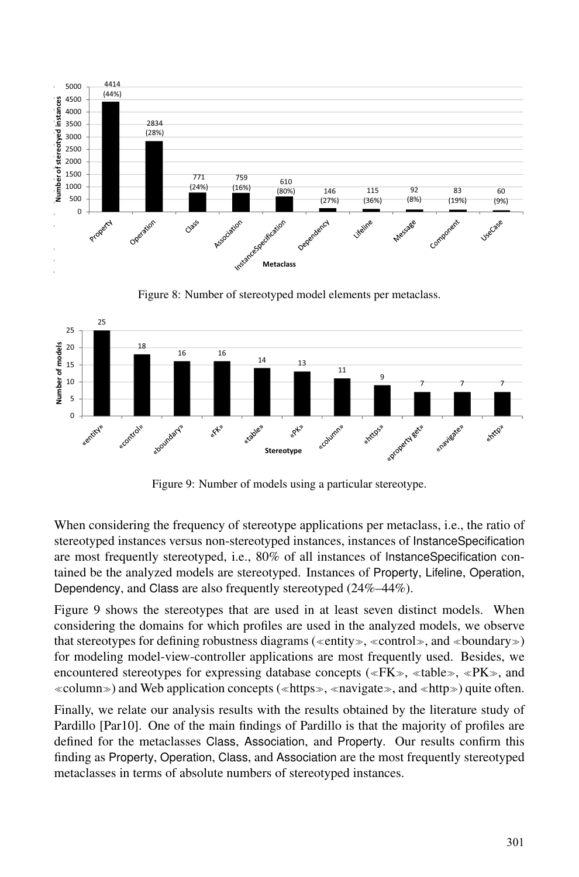

Figure 8: Number of stereotyped model elements per metaclass.



Figure 9: Number of models using a particular stereotype.

When considering the frequency of stereotype applications per metaclass, i.e., the ratio of stereotyped instances versus non-stereotyped instances, instances of InstanceSpecification are most frequently stereotyped, i.e., 80% of all instances of InstanceSpecification contained be the analyzed models are stereotyped. Instances of Property, Lifeline, Operation, Dependency, and Class are also frequently stereotyped (24%–44%).

Figure 9 shows the stereotypes that are used in at least seven distinct models. When considering the domains for which profiles are used in the analyzed models, we observe that stereotypes for defining robustness diagrams (≪entity≫, <sup>≪</sup>control≫, and <sup>≪</sup>boundary≫) for modeling model-view-controller applications are most frequently used. Besides, we encountered stereotypes for expressing database concepts (≪FK≫, <sup>≪</sup>table≫, <sup>≪</sup>PK≫, and <sup>≪</sup>column≫) and Web application concepts (≪https≫, <sup>≪</sup>navigate≫, and <sup>≪</sup>http≫) quite often.

Finally, we relate our analysis results with the results obtained by the literature study of Pardillo [Par10]. One of the main findings of Pardillo is that the majority of profiles are defined for the metaclasses Class, Association, and Property. Our results confirm this finding as Property, Operation, Class, and Association are the most frequently stereotyped metaclasses in terms of absolute numbers of stereotyped instances.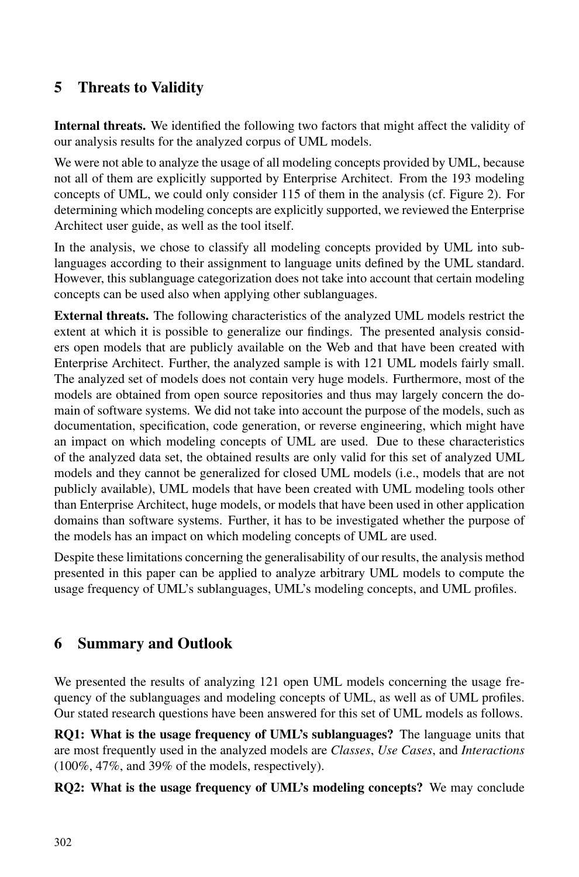## 5 Threats to Validity

Internal threats. We identified the following two factors that might affect the validity of our analysis results for the analyzed corpus of UML models.

We were not able to analyze the usage of all modeling concepts provided by UML, because not all of them are explicitly supported by Enterprise Architect. From the 193 modeling concepts of UML, we could only consider 115 of them in the analysis (cf. Figure 2). For determining which modeling concepts are explicitly supported, we reviewed the Enterprise Architect user guide, as well as the tool itself.

In the analysis, we chose to classify all modeling concepts provided by UML into sublanguages according to their assignment to language units defined by the UML standard. However, this sublanguage categorization does not take into account that certain modeling concepts can be used also when applying other sublanguages.

External threats. The following characteristics of the analyzed UML models restrict the extent at which it is possible to generalize our findings. The presented analysis considers open models that are publicly available on the Web and that have been created with Enterprise Architect. Further, the analyzed sample is with 121 UML models fairly small. The analyzed set of models does not contain very huge models. Furthermore, most of the models are obtained from open source repositories and thus may largely concern the domain of software systems. We did not take into account the purpose of the models, such as documentation, specification, code generation, or reverse engineering, which might have an impact on which modeling concepts of UML are used. Due to these characteristics of the analyzed data set, the obtained results are only valid for this set of analyzed UML models and they cannot be generalized for closed UML models (i.e., models that are not publicly available), UML models that have been created with UML modeling tools other than Enterprise Architect, huge models, or models that have been used in other application domains than software systems. Further, it has to be investigated whether the purpose of the models has an impact on which modeling concepts of UML are used.

Despite these limitations concerning the generalisability of our results, the analysis method presented in this paper can be applied to analyze arbitrary UML models to compute the usage frequency of UML's sublanguages, UML's modeling concepts, and UML profiles.

## 6 Summary and Outlook

We presented the results of analyzing 121 open UML models concerning the usage frequency of the sublanguages and modeling concepts of UML, as well as of UML profiles. Our stated research questions have been answered for this set of UML models as follows.

RQ1: What is the usage frequency of UML's sublanguages? The language units that are most frequently used in the analyzed models are *Classes*, *Use Cases*, and *Interactions* (100%, 47%, and 39% of the models, respectively).

RQ2: What is the usage frequency of UML's modeling concepts? We may conclude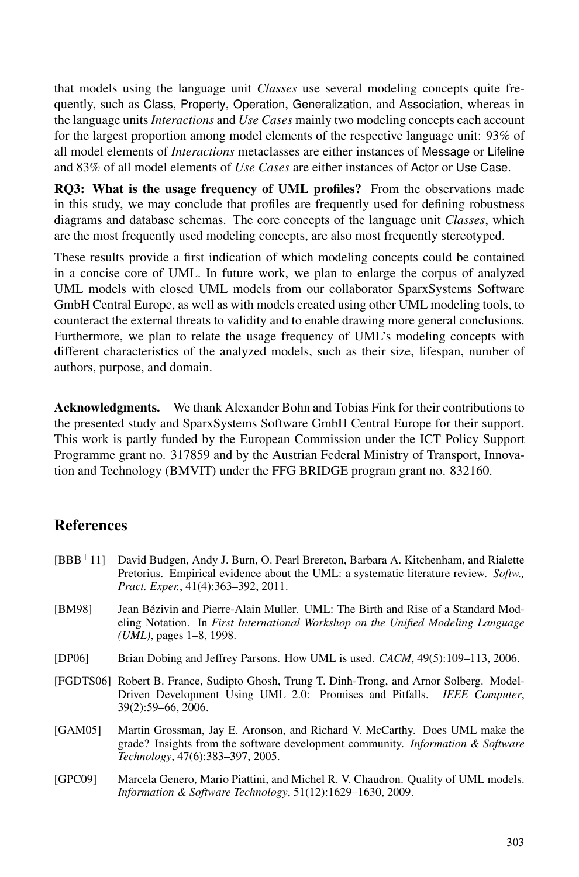that models using the language unit *Classes* use several modeling concepts quite frequently, such as Class, Property, Operation, Generalization, and Association, whereas in the language units *Interactions* and *Use Cases* mainly two modeling concepts each account for the largest proportion among model elements of the respective language unit: 93% of all model elements of *Interactions* metaclasses are either instances of Message or Lifeline and 83% of all model elements of *Use Cases* are either instances of Actor or Use Case.

RQ3: What is the usage frequency of UML profiles? From the observations made in this study, we may conclude that profiles are frequently used for defining robustness diagrams and database schemas. The core concepts of the language unit *Classes*, which are the most frequently used modeling concepts, are also most frequently stereotyped.

These results provide a first indication of which modeling concepts could be contained in a concise core of UML. In future work, we plan to enlarge the corpus of analyzed UML models with closed UML models from our collaborator SparxSystems Software GmbH Central Europe, as well as with models created using other UML modeling tools, to counteract the external threats to validity and to enable drawing more general conclusions. Furthermore, we plan to relate the usage frequency of UML's modeling concepts with different characteristics of the analyzed models, such as their size, lifespan, number of authors, purpose, and domain.

Acknowledgments. We thank Alexander Bohn and Tobias Fink for their contributions to the presented study and SparxSystems Software GmbH Central Europe for their support. This work is partly funded by the European Commission under the ICT Policy Support Programme grant no. 317859 and by the Austrian Federal Ministry of Transport, Innovation and Technology (BMVIT) under the FFG BRIDGE program grant no. 832160.

## **References**

- [BBB<sup>+</sup>11] David Budgen, Andy J. Burn, O. Pearl Brereton, Barbara A. Kitchenham, and Rialette Pretorius. Empirical evidence about the UML: a systematic literature review. *Softw., Pract. Exper.*, 41(4):363–392, 2011.
- [BM98] Jean Bézivin and Pierre-Alain Muller. UML: The Birth and Rise of a Standard Modeling Notation. In *First International Workshop on the Unified Modeling Language (UML)*, pages 1–8, 1998.
- [DP06] Brian Dobing and Jeffrey Parsons. How UML is used. *CACM*, 49(5):109–113, 2006.
- [FGDTS06] Robert B. France, Sudipto Ghosh, Trung T. Dinh-Trong, and Arnor Solberg. Model-Driven Development Using UML 2.0: Promises and Pitfalls. *IEEE Computer*, 39(2):59–66, 2006.
- [GAM05] Martin Grossman, Jay E. Aronson, and Richard V. McCarthy. Does UML make the grade? Insights from the software development community. *Information & Software Technology*, 47(6):383–397, 2005.
- [GPC09] Marcela Genero, Mario Piattini, and Michel R. V. Chaudron. Quality of UML models. *Information & Software Technology*, 51(12):1629–1630, 2009.